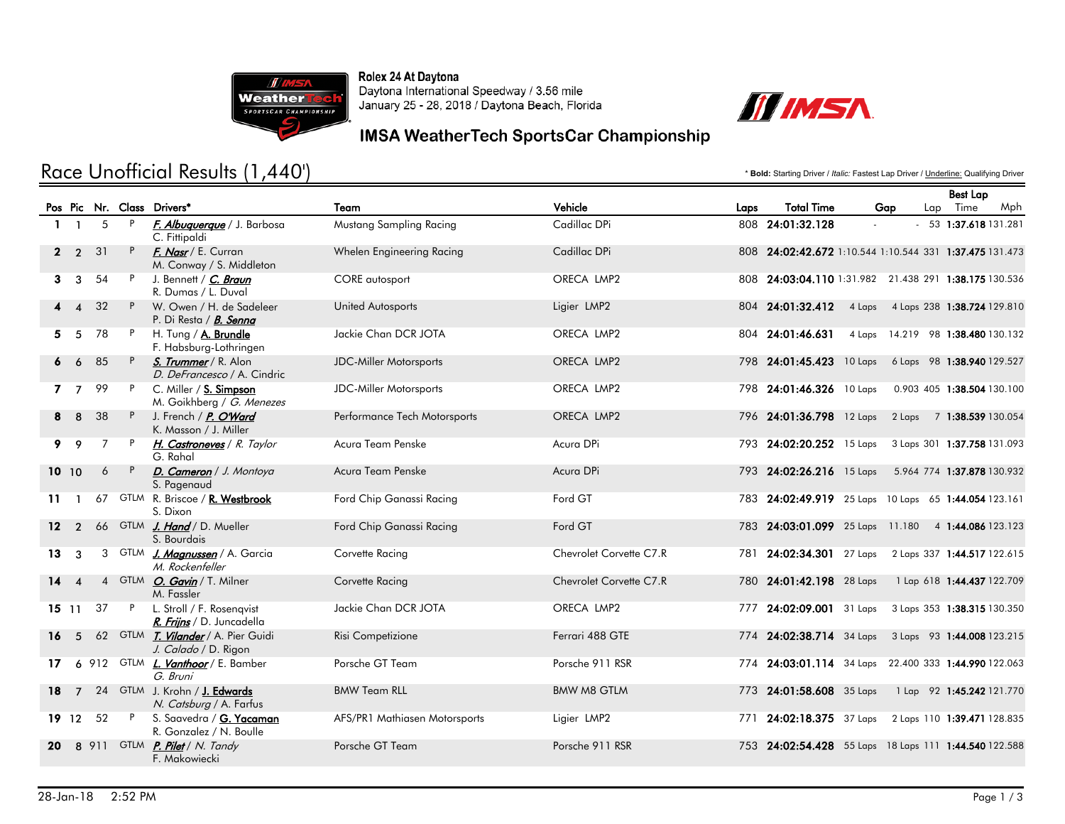

Rolex 24 At Daytona Daytona International Speedway / 3.56 mile January 25 - 28, 2018 / Daytona Beach, Florida



### IMSA WeatherTech SportsCar Championship

# Race Unofficial Results (1,440')

\* **Bold:** Starting Driver / *Italic:* Fastest Lap Driver / Underline: Qualifying Driver

|              |                        |          |              |                                                             |                               |                         |      |                                                         |                                    | Best Lap                    |     |
|--------------|------------------------|----------|--------------|-------------------------------------------------------------|-------------------------------|-------------------------|------|---------------------------------------------------------|------------------------------------|-----------------------------|-----|
|              |                        |          |              | Pos Pic Nr. Class Drivers*                                  | Team                          | Vehicle                 | Laps | <b>Total Time</b>                                       | Gap                                | Lap Time                    | Mph |
| $\mathbf{1}$ | $\mathbf{1}$           | 5        | $\mathsf{P}$ | F. Albuquerque / J. Barbosa<br>C. Fittipaldi                | Mustang Sampling Racing       | Cadillac DPi            |      | 808 24:01:32.128                                        | $\sim$                             | $-53$ 1:37.618 131.281      |     |
|              | $\overline{2}$         | 31       | P            | F. Nasr / E. Curran<br>M. Conway / S. Middleton             | Whelen Engineering Racing     | Cadillac DPi            |      | 808 24:02:42.672 1:10.544 1:10.544 331 1:37.475 131.473 |                                    |                             |     |
| 3.           | $\mathbf{3}$           | 54       | P            | J. Bennett / C. Braun<br>R. Dumas / L. Duval                | CORE autosport                | ORECA LMP2              |      | 808 24:03:04.110 1:31.982 21.438 291 1:38.175 130.536   |                                    |                             |     |
|              | $\boldsymbol{\Lambda}$ | 32       | P            | W. Owen / H. de Sadeleer<br>P. Di Resta / B. Senna          | <b>United Autosports</b>      | Ligier LMP2             |      | 804 24:01:32.412                                        | 4 Laps 4 Laps 238 1:38.724 129.810 |                             |     |
| 5.           | -5                     | 78       | P            | H. Tung / <b>A. Brundle</b><br>F. Habsburg-Lothringen       | Jackie Chan DCR JOTA          | ORECA LMP2              |      | 804 24:01:46.631                                        | 4 Laps 14.219 98 1:38.480 130.132  |                             |     |
|              | 6                      | 85       | P            | S. Trummer / R. Alon<br>D. DeFrancesco / A. Cindric         | <b>JDC-Miller Motorsports</b> | ORECA LMP2              |      | 798 24:01:45.423 10 Laps                                |                                    | 6 Laps 98 1:38.940 129.527  |     |
|              | 7 <sub>7</sub>         | 99       | P            | C. Miller / S. Simpson<br>M. Goikhberg / G. Menezes         | <b>JDC-Miller Motorsports</b> | ORECA LMP2              |      | 798 24:01:46.326 10 Laps                                |                                    | 0.903 405 1:38.504 130.100  |     |
| 8.           | 8                      | 38       | P.           | J. French / P. O'Ward<br>K. Masson / J. Miller              | Performance Tech Motorsports  | ORECA LMP2              |      | 796 24:01:36.798 12 Laps 2 Laps 7 1:38.539 130.054      |                                    |                             |     |
| 9.           | 9                      | 7        |              | H. Castroneves / R. Taylor<br>G. Rahal                      | Acura Team Penske             | Acura DPi               |      | 793 24:02:20.252 15 Laps 3 Laps 301 1:37.758 131.093    |                                    |                             |     |
|              | 10, 10                 | 6        | P            | D. Cameron / J. Montoya<br>S. Pagenaud                      | Acura Team Penske             | Acura DPi               |      | 793 24:02:26.216 15 Laps                                |                                    | 5.964 774 1:37.878 130.932  |     |
| 11           | $\mathbf{1}$           | 67       |              | GTLM R. Briscoe / R. Westbrook<br>S. Dixon                  | Ford Chip Ganassi Racing      | Ford GT                 |      | 783 24:02:49.919 25 Laps 10 Laps 65 1:44.054 123.161    |                                    |                             |     |
| $12 \,$      | $\overline{2}$         |          |              | 66 GTLM J. Hand / D. Mueller<br>S. Bourdais                 | Ford Chip Ganassi Racing      | Ford GT                 |      | 783 24:03:01.099 25 Laps 11.180 4 1:44.086 123.123      |                                    |                             |     |
| 13.          | 3                      |          |              | 3 GTLM <i>J. Magnussen</i> / A. Garcia<br>M. Rockenfeller   | Corvette Racing               | Chevrolet Corvette C7.R |      | 781 24:02:34.301 27 Laps 2 Laps 337 1:44.517 122.615    |                                    |                             |     |
| 14           | $\boldsymbol{A}$       |          |              | 4 GTLM <i>O. Gavin</i> / T. Milner<br>M. Fassler            | Corvette Racing               | Chevrolet Corvette C7.R |      | 780 24:01:42.198 28 Laps                                |                                    | 1 Lap 618 1:44.437 122.709  |     |
|              | $15 \t11$              | 37       |              | P L. Stroll / F. Rosenqvist<br>R. Frijns / D. Juncadella    | Jackie Chan DCR JOTA          | ORECA LMP2              |      | 777 24:02:09.001 31 Laps                                |                                    | 3 Laps 353 1:38.315 130.350 |     |
| 16           | 5                      |          |              | 62 GTLM T. Vilander / A. Pier Guidi<br>J. Calado / D. Rigon | Risi Competizione             | Ferrari 488 GTE         |      | 774 24:02:38.714 34 Laps 3 Laps 93 1:44.008 123.215     |                                    |                             |     |
| 17           |                        |          |              | 6 912 GTLM <i>L. Vanthoor</i> / E. Bamber<br>G. Bruni       | Porsche GT Team               | Porsche 911 RSR         |      | 774 24:03:01.114 34 Laps 22.400 333 1:44.990 122.063    |                                    |                             |     |
| 18           |                        |          |              | 7 24 GTLM J. Krohn / J. Edwards<br>N. Catsburg / A. Farfus  | <b>BMW Team RLL</b>           | <b>BMW M8 GTLM</b>      |      | 773 24:01:58.608 35 Laps                                |                                    | 1 Lap 92 1:45.242 121.770   |     |
|              |                        | 19 12 52 | P            | S. Saavedra / <b>G. Yacaman</b><br>R. Gonzalez / N. Boulle  | AFS/PR1 Mathiasen Motorsports | Ligier LMP2             | 771  | 24:02:18.375 37 Laps 2 Laps 110 1:39.471 128.835        |                                    |                             |     |
| 20           |                        |          |              | 8 911 GTLM <b>P. Pilet</b> / N. Tandy<br>F. Makowiecki      | Porsche GT Team               | Porsche 911 RSR         |      | 753 24:02:54.428 55 Laps 18 Laps 111 1:44.540 122.588   |                                    |                             |     |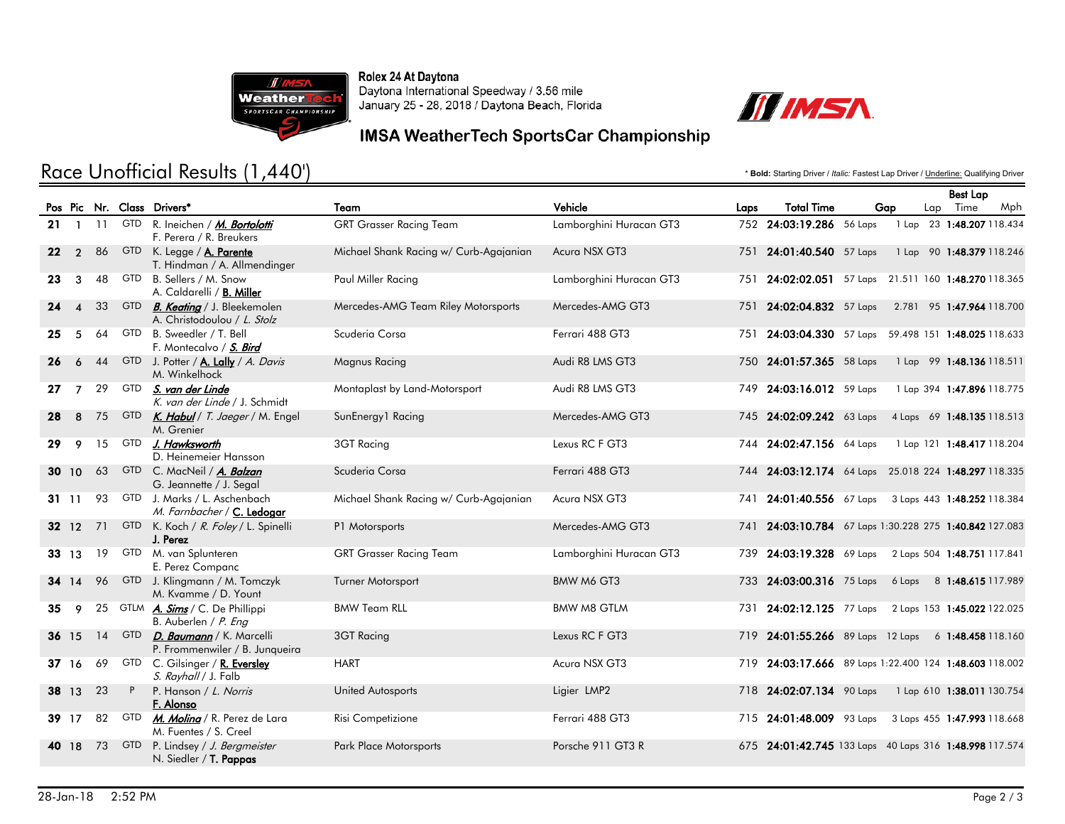

Rolex 24 At Daytona Daytona International Speedway / 3.56 mile January 25 - 28, 2018 / Daytona Beach, Florida



### IMSA WeatherTech SportsCar Championship

# Race Unofficial Results (1,440')

\* **Bold:** Starting Driver / *Italic:* Fastest Lap Driver / Underline: Qualifying Driver

|    |                        |      |            |                                                                       |                                        |                         |     |                                                        |     |  | <b>Best Lap</b> |                            |     |
|----|------------------------|------|------------|-----------------------------------------------------------------------|----------------------------------------|-------------------------|-----|--------------------------------------------------------|-----|--|-----------------|----------------------------|-----|
|    |                        |      |            | Pos Pic Nr. Class Drivers*                                            | Team                                   | Vehicle<br>Laps         |     | <b>Total Time</b>                                      | Gap |  |                 | Lap Time                   | Mph |
|    | $21 \quad 1$           |      | 11 GTD     | R. Ineichen / M. Bortolotti<br>F. Perera / R. Breukers                | <b>GRT Grasser Racing Team</b>         | Lamborghini Huracan GT3 |     | 752 24:03:19.286 56 Laps                               |     |  |                 | 1 Lap 23 1:48.207 118.434  |     |
| 22 | $\overline{2}$         | 86   |            | GTD K. Legge / A. Parente<br>T. Hindman / A. Allmendinger             | Michael Shank Racing w/ Curb-Agajanian | Acura NSX GT3           |     | 751 24:01:40.540 57 Laps                               |     |  |                 | 1 Lap 90 1:48.379 118.246  |     |
| 23 | $\mathbf{3}$           | 48   | GTD        | B. Sellers / M. Snow<br>A. Caldarelli / B. Miller                     | Paul Miller Racing                     | Lamborghini Huracan GT3 | 751 | 24:02:02.051 57 Laps 21.511 160 1:48.270 118.365       |     |  |                 |                            |     |
| 24 | $\boldsymbol{\Lambda}$ | 33   |            | GTD <i>B. Keating</i> / J. Bleekemolen<br>A. Christodoulou / L. Stolz | Mercedes-AMG Team Riley Motorsports    | Mercedes-AMG GT3        |     | 751 24:02:04.832 57 Laps                               |     |  |                 | 2.781 95 1:47.964 118.700  |     |
| 25 | 5                      | 64   | GTD        | B. Sweedler / T. Bell<br>F. Montecalvo / S. Bird                      | Scuderia Corsa                         | Ferrari 488 GT3         | 751 | 24:03:04.330 57 Laps 59.498 151 1:48.025 118.633       |     |  |                 |                            |     |
| 26 | 6                      | 44   | <b>GTD</b> | J. Potter / A. Lally / A. Davis<br>M. Winkelhock                      | Magnus Racing                          | Audi R8 LMS GT3         |     | 750 24:01:57.365 58 Laps                               |     |  |                 | 1 Lap 99 1:48.136 118.511  |     |
| 27 | $\overline{7}$         | 29   |            | GTD <i>S. van der Linde</i><br>K. van der Linde / J. Schmidt          | Montaplast by Land-Motorsport          | Audi R8 LMS GT3         |     | 749 24:03:16.012 59 Laps                               |     |  |                 | 1 Lap 394 1:47.896 118.775 |     |
| 28 | 8                      | 75   |            | GTD K. Habul / T. Jaeger / M. Engel<br>M. Grenier                     | SunEnergy1 Racing                      | Mercedes-AMG GT3        |     | 745 24:02:09.242 63 Laps                               |     |  |                 | 4 Laps 69 1:48.135 118.513 |     |
| 29 | 9                      | 15   | GTD        | J. Hawksworth<br>D. Heinemeier Hansson                                | 3GT Racing                             | Lexus RC F GT3          |     | 744 24:02:47.156 64 Laps                               |     |  |                 | 1 Lap 121 1:48.417 118.204 |     |
|    | 30 10                  | 63   |            | GTD C. MacNeil / A. Balzan<br>G. Jeannette / J. Segal                 | Scuderia Corsa                         | Ferrari 488 GT3         |     | 744 24:03:12.174 64 Laps 25.018 224 1:48.297 118.335   |     |  |                 |                            |     |
|    | 3111                   | 93   |            | GTD J. Marks / L. Aschenbach<br>M. Farnbacher / C. Ledogar            | Michael Shank Racing w/ Curb-Agajanian | Acura NSX GT3           |     | 741 24:01:40.556 67 Laps 3 Laps 443 1:48.252 118.384   |     |  |                 |                            |     |
|    | 32 12                  |      |            | 71 GTD K. Koch / R. Foley / L. Spinelli<br>J. Perez                   | P1 Motorsports                         | Mercedes-AMG GT3        |     | 741 24:03:10.784 67 Laps 1:30.228 275 1:40.842 127.083 |     |  |                 |                            |     |
|    | 33 13                  |      |            | 19 GTD M. van Splunteren<br>E. Perez Companc                          | <b>GRT Grasser Racing Team</b>         | Lamborghini Huracan GT3 |     | 739 24:03:19.328 69 Laps 2 Laps 504 1:48.751 117.841   |     |  |                 |                            |     |
|    | 34 14                  | 96   |            | GTD J. Klingmann / M. Tomczyk<br>M. Kvamme / D. Yount                 | <b>Turner Motorsport</b>               | BMW M6 GT3              |     | 733 24:03:00.316 75 Laps 6 Laps 8 1:48.615 117.989     |     |  |                 |                            |     |
| 35 | 9                      | 25   |            | GTLM A. Sims / C. De Phillippi<br>B. Auberlen / P. Eng                | <b>BMW Team RLL</b>                    | <b>BMW M8 GTLM</b>      |     | 731 24:02:12.125 77 Laps 2 Laps 153 1:45.022 122.025   |     |  |                 |                            |     |
| 36 | <b>15</b>              | 14   |            | GTD <i>D. Baumann</i> / K. Marcelli<br>P. Frommenwiler / B. Junqueira | 3GT Racing                             | Lexus RC F GT3          |     | 719 24:01:55.266 89 Laps 12 Laps 6 1:48.458 118.160    |     |  |                 |                            |     |
|    | 37 16                  | 69   | <b>GTD</b> | C. Gilsinger / R. Eversley<br>S. Rayhall / J. Falb                    | <b>HART</b>                            | Acura NSX GT3           |     | 719 24:03:17.666 89 Laps 1:22.400 124 1:48.603 118.002 |     |  |                 |                            |     |
|    | 38 13                  | 23   | P          | P. Hanson / L. Norris<br>F. Alonso                                    | <b>United Autosports</b>               | Ligier LMP2             |     | 718 24:02:07.134 90 Laps                               |     |  |                 | 1 Lap 610 1:38.011 130.754 |     |
|    | 39 17                  | 82   |            | GTD <i>M. Moling</i> / R. Perez de Lara<br>M. Fuentes / S. Creel      | Risi Competizione                      | Ferrari 488 GT3         |     | 715 24:01:48.009 93 Laps 3 Laps 455 1:47.993 118.668   |     |  |                 |                            |     |
| 40 | 18                     | - 73 | <b>GTD</b> | P. Lindsey / J. Bergmeister<br>N. Siedler / T. Pappas                 | <b>Park Place Motorsports</b>          | Porsche 911 GT3 R       |     | 675 24:01:42.745 133 Laps 40 Laps 316 1:48.998 117.574 |     |  |                 |                            |     |